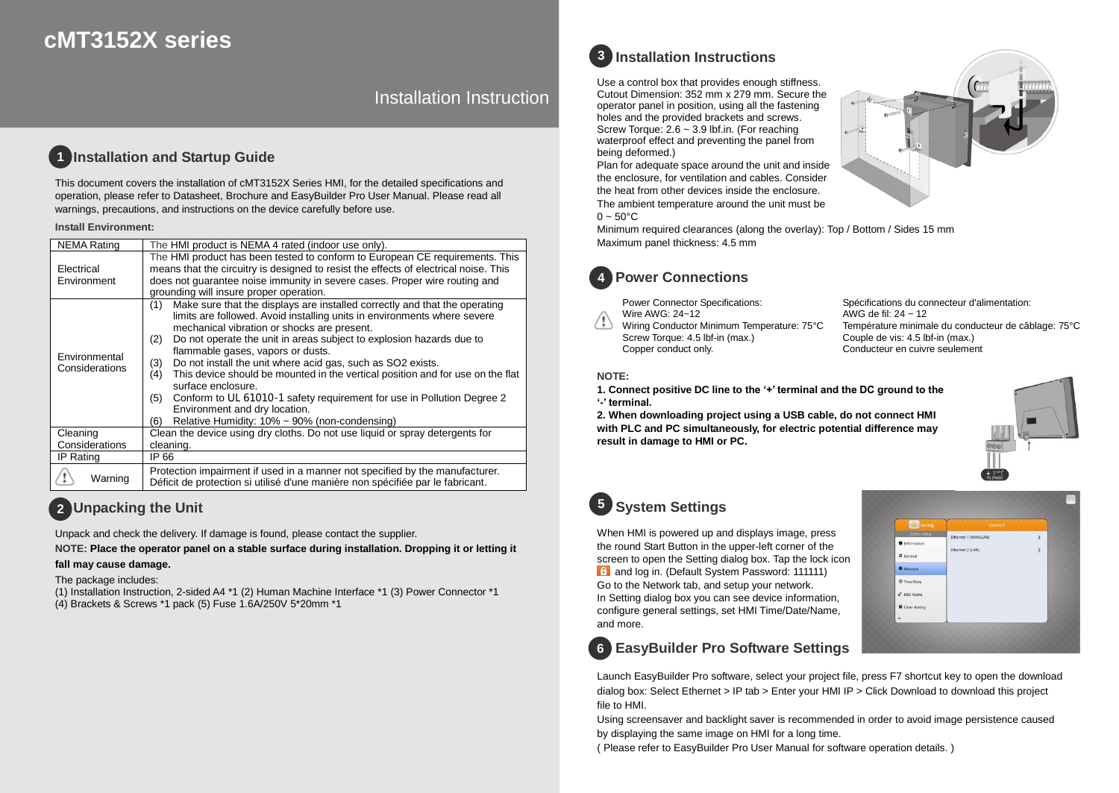# **cMT3152X series**

Installation Instruction

#### **Installation and Startup Guide 1**

This document covers the installation of cMT3152X Series HMI, for the detailed specifications and operation, please refer to Datasheet, Brochure and EasyBuilder Pro User Manual. Please read all warnings, precautions, and instructions on the device carefully before use.

#### **Install Environment:**

| <b>NEMA Rating</b>              | The HMI product is NEMA 4 rated (indoor use only).                                                                                                                                                                                                                                                                                                                                                                                                                                                                                                                                                                                                                                              |  |  |  |  |
|---------------------------------|-------------------------------------------------------------------------------------------------------------------------------------------------------------------------------------------------------------------------------------------------------------------------------------------------------------------------------------------------------------------------------------------------------------------------------------------------------------------------------------------------------------------------------------------------------------------------------------------------------------------------------------------------------------------------------------------------|--|--|--|--|
| Electrical<br>Environment       | The HMI product has been tested to conform to European CE requirements. This<br>means that the circuitry is designed to resist the effects of electrical noise. This<br>does not quarantee noise immunity in severe cases. Proper wire routing and<br>grounding will insure proper operation.                                                                                                                                                                                                                                                                                                                                                                                                   |  |  |  |  |
| Environmental<br>Considerations | Make sure that the displays are installed correctly and that the operating<br>(1)<br>limits are followed. Avoid installing units in environments where severe<br>mechanical vibration or shocks are present.<br>Do not operate the unit in areas subject to explosion hazards due to<br>(2)<br>flammable gases, vapors or dusts.<br>Do not install the unit where acid gas, such as SO2 exists.<br>(3)<br>This device should be mounted in the vertical position and for use on the flat<br>(4)<br>surface enclosure.<br>Conform to UL 61010-1 safety requirement for use in Pollution Degree 2<br>(5)<br>Environment and dry location.<br>Relative Humidity: 10% ~ 90% (non-condensing)<br>(6) |  |  |  |  |
| Cleaning                        | Clean the device using dry cloths. Do not use liquid or spray detergents for                                                                                                                                                                                                                                                                                                                                                                                                                                                                                                                                                                                                                    |  |  |  |  |
| Considerations                  | cleaning.                                                                                                                                                                                                                                                                                                                                                                                                                                                                                                                                                                                                                                                                                       |  |  |  |  |
| IP Rating                       | IP 66                                                                                                                                                                                                                                                                                                                                                                                                                                                                                                                                                                                                                                                                                           |  |  |  |  |
| Warning                         | Protection impairment if used in a manner not specified by the manufacturer.<br>Déficit de protection si utilisé d'une manière non spécifiée par le fabricant.                                                                                                                                                                                                                                                                                                                                                                                                                                                                                                                                  |  |  |  |  |

### **Unpacking the Unit 2**

Unpack and check the delivery. If damage is found, please contact the supplier.

**NOTE: Place the operator panel on a stable surface during installation. Dropping it or letting it** 

### **fall may cause damage.**

The package includes:

(1) Installation Instruction, 2-sided A4 \*1 (2) Human Machine Interface \*1 (3) Power Connector \*1 (4) Brackets & Screws \*1 pack (5) Fuse 1.6A/250V 5\*20mm \*1

# **Installation Instructions 3**

Use a control box that provides enough stiffness. Cutout Dimension: 352 mm x 279 mm. Secure the operator panel in position, using all the fastening holes and the provided brackets and screws. Screw Torque: 2.6 ~ 3.9 lbf.in. (For reaching waterproof effect and preventing the panel from being deformed.)

Plan for adequate space around the unit and inside the enclosure, for ventilation and cables. Consider the heat from other devices inside the enclosure. The ambient temperature around the unit must be  $0 \sim 50^{\circ}$ C





Power Connector Specifications: Wire AWG: 24~12

Wiring Conductor Minimum Temperature: 75°C Screw Torque: 4.5 lbf-in (max.) Copper conduct only.

Spécifications du connecteur d'alimentation: AWG de fil: 24 ~ 12 Température minimale du conducteur de câblage: 75°C Couple de vis: 4.5 lbf-in (max.) Conducteur en cuivre seulement

### **NOTE:**

**1. Connect positive DC line to the '+' terminal and the DC ground to the '-' terminal.**

**2. When downloading project using a USB cable, do not connect HMI with PLC and PC simultaneously, for electric potential difference may result in damage to HMI or PC.**



# **System Settings 5**

When HMI is powered up and displays image, press the round Start Button in the upper-left corner of the screen to open the Setting dialog box. Tap the lock icon f and log in. (Default System Password: 111111) Go to the Network tab, and setup your network. In Setting dialog box you can see device information, configure general settings, set HMI Time/Date/Name, and more.



## **EasyBuilder Pro Software Settings 6**

Launch EasyBuilder Pro software, select your project file, press F7 shortcut key to open the download dialog box: Select Ethernet > IP tab > Enter your HMI IP > Click Download to download this project file to HMI.

Using screensaver and backlight saver is recommended in order to avoid image persistence caused by displaying the same image on HMI for a long time.

( Please refer to EasyBuilder Pro User Manual for software operation details. )